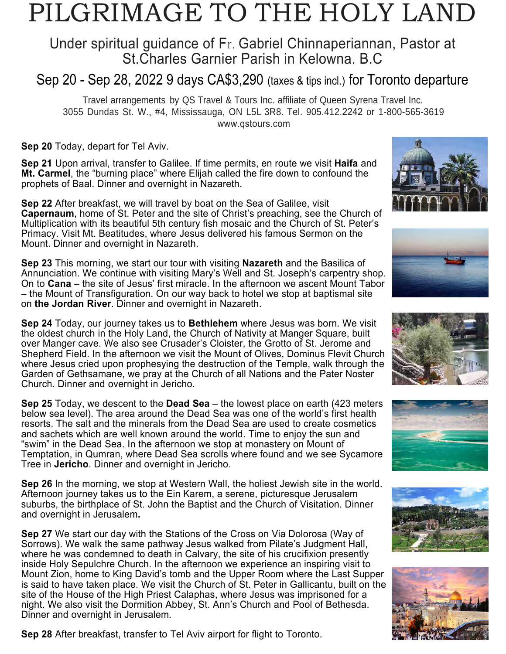# PILGRIMAGE TO THE HOLY LAND

## Under spiritual guidance of Fr. Gabriel Chinnaperiannan, Pastor at St.Charles Garnier Parish in Kelowna. B.C

## Sep 20 - Sep 28, 2022 9 days CA\$3,290 (taxes & tips incl.) for Toronto departure

Travel arrangements by QS Travel & Tours Inc. affiliate of Queen Syrena Travel Inc. 3055 Dundas St. W., #4, Mississauga, ON L5L 3R8. Tel. 905.412.2242 or 1-800-565-3619 www.qstours.com

**Sep 20** Today, depart for Tel Aviv.

**Sep 21** Upon arrival, transfer to Galilee. If time permits, en route we visit **Haifa** and **Mt. Carmel**, the "burning place" where Elijah called the fire down to confound the prophets of Baal. Dinner and overnight in Nazareth.

**Sep 22** After breakfast, we will travel by boat on the Sea of Galilee, visit **Capernaum**, home of St. Peter and the site of Christ's preaching, see the Church of Multiplication with its beautiful 5th century fish mosaic and the Church of St. Peter's Primacy. Visit Mt. Beatitudes, where Jesus delivered his famous Sermon on the Mount. Dinner and overnight in Nazareth.

**Sep 23** This morning, we start our tour with visiting **Nazareth** and the Basilica of Annunciation. We continue with visiting Mary's Well and St. Joseph's carpentry shop. On to **Cana** – the site of Jesus' first miracle. In the afternoon we ascent Mount Tabor – the Mount of Transfiguration. On our way back to hotel we stop at baptismal site on **the Jordan River**. Dinner and overnight in Nazareth.

**Sep 24** Today, our journey takes us to **Bethlehem** where Jesus was born. We visit the oldest church in the Holy Land, the Church of Nativity at Manger Square, built over Manger cave. We also see Crusader's Cloister, the Grotto of St. Jerome and Shepherd Field. In the afternoon we visit the Mount of Olives, Dominus Flevit Church where Jesus cried upon prophesying the destruction of the Temple, walk through the Garden of Gethsamane, we pray at the Church of all Nations and the Pater Noster Church. Dinner and overnight in Jericho.

**Sep 25** Today, we descent to the **Dead Sea** – the lowest place on earth (423 meters below sea level). The area around the Dead Sea was one of the world's first health resorts. The salt and the minerals from the Dead Sea are used to create cosmetics and sachets which are well known around the world. Time to enjoy the sun and "swim" in the Dead Sea. In the afternoon we stop at monastery on Mount of Temptation, in Qumran, where Dead Sea scrolls where found and we see Sycamore Tree in **Jericho**. Dinner and overnight in Jericho.

**Sep 26** In the morning, we stop at Western Wall, the holiest Jewish site in the world. Afternoon journey takes us to the Ein Karem, a serene, picturesque Jerusalem suburbs, the birthplace of St. John the Baptist and the Church of Visitation. Dinner and overnight in Jerusalem**.**

**Sep 27** We start our day with the Stations of the Cross on Via Dolorosa (Way of Sorrows). We walk the same pathway Jesus walked from Pilate's Judgment Hall, where he was condemned to death in Calvary, the site of his crucifixion presently inside Holy Sepulchre Church. In the afternoon we experience an inspiring visit to Mount Zion, home to King David's tomb and the Upper Room where the Last Supper is said to have taken place. We visit the Church of St. Peter in Gallicantu, built on the site of the House of the High Priest Calaphas, where Jesus was imprisoned for a night. We also visit the Dormition Abbey, St. Ann's Church and Pool of Bethesda. Dinner and overnight in Jerusalem.

**Sep 28** After breakfast, transfer to Tel Aviv airport for flight to Toronto.